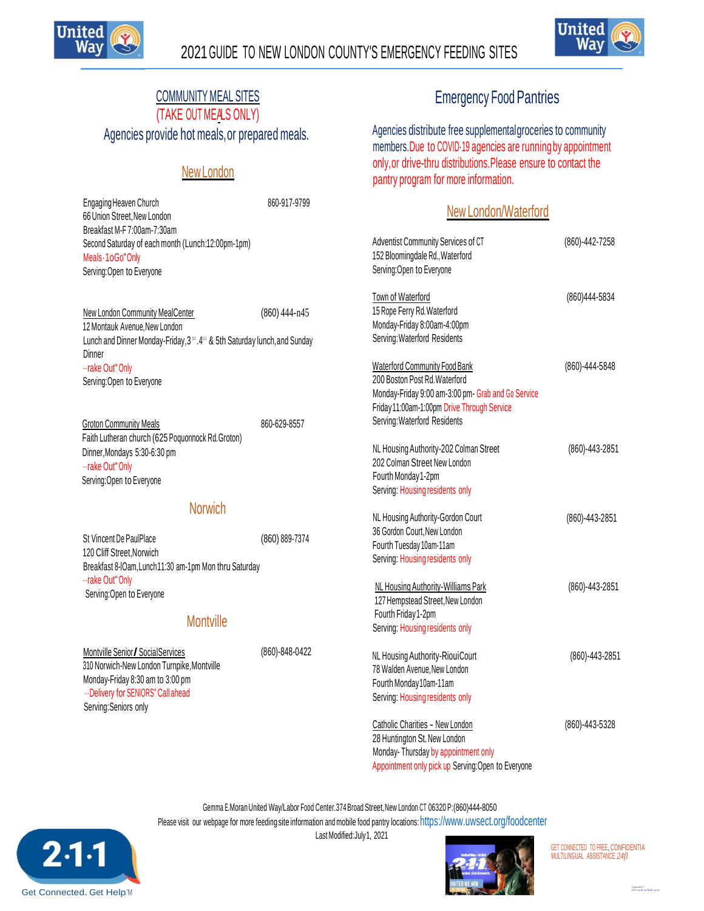

66 Union Street,New London



# COMMUNITY MEAL SITES

(TAKE OUT MEALS ONLY)

Agencies provide hot meals,or prepared meals.

### New London

Engaging Heaven Church 860-917-9799

# Emergency Food Pantries

Agencies distribute free supplementalgroceries to community members.Due to COVID·19 agencies are runningby appointment only,or drive-thru distributions.Please ensure to contact the pantry program for more information.

### New London/Waterford

| Breakfast M-F 7:00am-7:30am<br>Second Saturday of each month (Lunch:12:00pm-1pm)<br>Meals - 1 o Go" Only<br>Serving: Open to Everyone                                             |                | Adventist Community Services of CT<br>152 Bloomingdale Rd., Waterford<br>Serving: Open to Everyone                                                                  | (860)-442-7258 |  |
|-----------------------------------------------------------------------------------------------------------------------------------------------------------------------------------|----------------|---------------------------------------------------------------------------------------------------------------------------------------------------------------------|----------------|--|
| <b>New London Community MealCenter</b><br>12 Montauk Avenue, New London<br>Lunch and Dinner Monday-Friday, 3", 4" & 5th Saturday lunch, and Sunday<br>Dinner                      | (860) 444-n45  | Town of Waterford<br>15 Rope Ferry Rd. Waterford<br>Monday-Friday 8:00am-4:00pm<br>Serving: Waterford Residents                                                     | (860)444-5834  |  |
| rake Out" Only<br>Serving: Open to Everyone                                                                                                                                       |                | Waterford Community Food Bank<br>200 Boston Post Rd. Waterford<br>Monday-Friday 9:00 am-3:00 pm- Grab and Go Service<br>Friday 11:00am-1:00pm Drive Through Service | (860)-444-5848 |  |
| <b>Groton Community Meals</b><br>Faith Lutheran church (625 Poquonnock Rd. Groton)                                                                                                | 860-629-8557   | Serving: Waterford Residents                                                                                                                                        |                |  |
| Dinner, Mondays 5:30-6:30 pm<br>rake Out" Only<br>Serving: Open to Everyone                                                                                                       |                | NL Housing Authority-202 Colman Street<br>202 Colman Street New London<br>Fourth Monday 1-2pm<br>Serving: Housing residents only                                    | (860)-443-2851 |  |
| <b>Norwich</b>                                                                                                                                                                    |                | NL Housing Authority-Gordon Court                                                                                                                                   | (860)-443-2851 |  |
| St Vincent De PaulPlace<br>120 Cliff Street, Norwich<br>Breakfast 8-IOam, Lunch 11:30 am-1pm Mon thru Saturday                                                                    | (860) 889-7374 | 36 Gordon Court, New London<br>Fourth Tuesday 10am-11am<br>Serving: Housing residents only                                                                          |                |  |
| rake Out" Only<br>Serving: Open to Everyone                                                                                                                                       |                | NL Housing Authority-Williams Park<br>127 Hempstead Street, New London<br>Fourth Friday 1-2pm                                                                       | (860)-443-2851 |  |
| <b>Montville</b>                                                                                                                                                                  |                | Serving: Housing residents only                                                                                                                                     |                |  |
| Montville Senior / Social Services<br>310 Norwich-New London Turnpike, Montville<br>Monday-Friday 8:30 am to 3:00 pm<br>Delivery for SENIORS" Call ahead<br>Serving: Seniors only | (860)-848-0422 | NL Housing Authority-RiouiCourt<br>78 Walden Avenue, New London<br>Fourth Monday10am-11am<br>Serving: Housing residents only                                        | (860)-443-2851 |  |
|                                                                                                                                                                                   |                | Catholic Charities - New London<br>28 Huntington St. New London<br>Monday-Thursday by appointment only<br>Appointment only pick up Serving: Open to Everyone        | (860)-443-5328 |  |

Gemma E.MoranUnited Way/Labor Food Center.374Broad Street,New London CT 06320 P:(860)444-8050

Please visit our webpage for more feeding site information and mobile food pantry locations: [https://www.uwsect.org/foodcenter](http://www.uwsect.org/foodcenter) Last Modified:July1, 2021

 $2\,1\,1$ Get Connected. Get Help.'M



GET CONNECTED TO FREE, CONFIDENTIA MULTILINGUAL ASSISTANCE *24fl*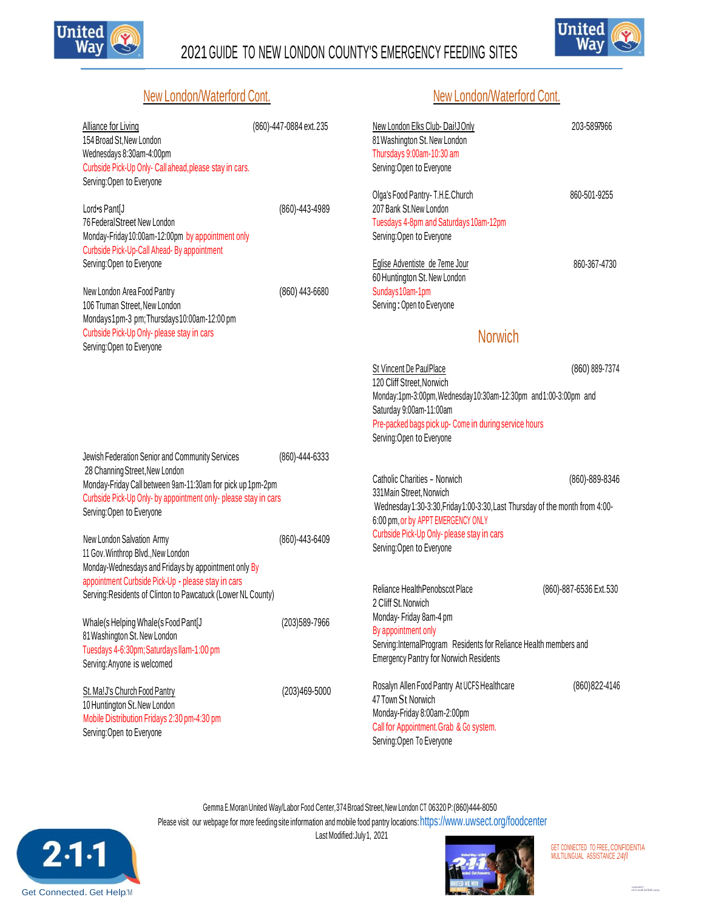

# 2021GUIDE TO NEW LONDON COUNTY'S EMERGENCY FEEDING SITES



#### New London/Waterford Cont. New London/Waterford Cont.

| <b>Alliance for Living</b><br>154 Broad St, New London<br>Wednesdays 8:30am-4:00pm<br>Curbside Pick-Up Only- Call ahead, please stay in cars.<br>Serving: Open to Everyone | (860)-447-0884 ext.235 | New London Elks Club-DailJOnly<br>81 Washington St. New London<br>Thursdays 9:00am-10:30 am<br>Serving: Open to Everyone                                                  | 203-5897966            |
|----------------------------------------------------------------------------------------------------------------------------------------------------------------------------|------------------------|---------------------------------------------------------------------------------------------------------------------------------------------------------------------------|------------------------|
| Lord•s Pant[J<br>76 Federal Street New London<br>Monday-Friday10:00am-12:00pm by appointment only<br>Curbside Pick-Up-Call Ahead- By appointment                           | (860)-443-4989         | Olga's Food Pantry- T.H.E.Church<br>207 Bank St. New London<br>Tuesdays 4-8pm and Saturdays 10am-12pm<br>Serving: Open to Everyone                                        | 860-501-9255           |
| Serving: Open to Everyone<br>New London Area Food Pantry                                                                                                                   | (860) 443-6680         | Eglise Adventiste de 7eme Jour<br>60 Huntington St. New London<br>Sundays 10am-1pm                                                                                        | 860-367-4730           |
| 106 Truman Street, New London<br>Mondays1pm-3 pm; Thursdays10:00am-12:00 pm                                                                                                |                        | Serving: Open to Everyone                                                                                                                                                 |                        |
| Curbside Pick-Up Only- please stay in cars<br>Serving: Open to Everyone                                                                                                    |                        | <b>Norwich</b>                                                                                                                                                            |                        |
|                                                                                                                                                                            |                        | St Vincent De PaulPlace<br>120 Cliff Street, Norwich                                                                                                                      | (860) 889-7374         |
|                                                                                                                                                                            |                        | Monday:1pm-3:00pm, Wednesday10:30am-12:30pm and1:00-3:00pm and<br>Saturday 9:00am-11:00am<br>Pre-packed bags pick up- Come in during service hours                        |                        |
|                                                                                                                                                                            |                        | Serving: Open to Everyone                                                                                                                                                 |                        |
| Jewish Federation Senior and Community Services<br>28 Channing Street, New London                                                                                          | (860)-444-6333         | Catholic Charities - Norwich                                                                                                                                              | (860)-889-8346         |
| Monday-Friday Call between 9am-11:30am for pick up 1pm-2pm<br>Curbside Pick-Up Only- by appointment only- please stay in cars<br>Serving: Open to Everyone                 |                        | 331 Main Street, Norwich<br>Wednesday1:30-3:30, Friday1:00-3:30, Last Thursday of the month from 4:00-                                                                    |                        |
| New London Salvation Army<br>11 Gov. Winthrop Blvd., New London                                                                                                            | (860)-443-6409         | 6:00 pm, or by APPT EMERGENCY ONLY<br>Curbside Pick-Up Only- please stay in cars<br>Serving: Open to Everyone                                                             |                        |
| Monday-Wednesdays and Fridays by appointment only By<br>appointment Curbside Pick-Up - please stay in cars<br>Serving: Residents of Clinton to Pawcatuck (Lower NL County) |                        | Reliance HealthPenobscot Place                                                                                                                                            | (860)-887-6536 Ext.530 |
| Whale(s Helping Whale(s Food Pant[J<br>81 Washington St. New London                                                                                                        | (203)589-7966          | 2 Cliff St. Norwich<br>Monday-Friday 8am-4 pm<br>By appointment only                                                                                                      |                        |
| Tuesdays 4-6:30pm; Saturdays llam-1:00 pm<br>Serving: Anyone is welcomed                                                                                                   |                        | Serving:InternalProgram Residents for Reliance Health members and<br><b>Emergency Pantry for Norwich Residents</b>                                                        |                        |
| St. Ma!J's Church Food Pantry<br>10 Huntington St. New London<br>Mobile Distribution Fridays 2:30 pm-4:30 pm<br>Serving: Open to Everyone                                  | (203)469-5000          | Rosalyn Allen Food Pantry At UCFS Healthcare<br>47 Town St Norwich<br>Monday-Friday 8:00am-2:00pm<br>Call for Appointment. Grab & Go system.<br>Serving: Open To Everyone | (860) 822-4146         |

Gemma E.MoranUnited Way/Labor Food Center,374Broad Street,New London CT 06320 P:(860)444-8050 Please visit our webpage for more feeding site information and mobile food pantry locations: [https://www.uwsect.org/foodcenter](http://www.uwsect.org/foodcenter) Last Modified: July 1, 2021





GET CONNECTED TO FREE<mark>, CONFIDENTIA</mark><br>MULTILINGUAL ASSISTANCE 24fl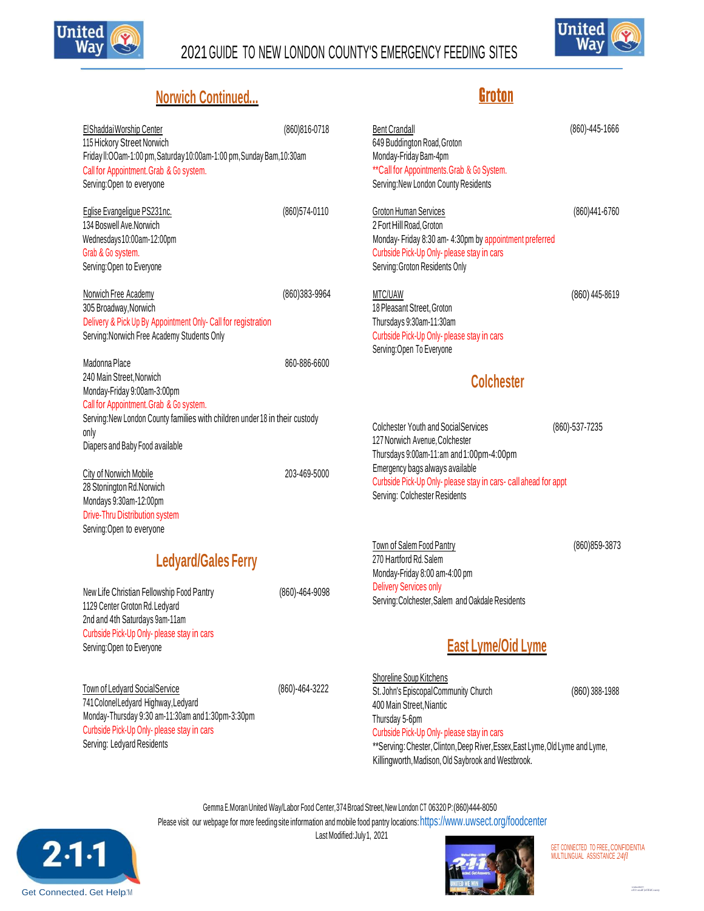

## 2021GUIDE TO NEW LONDON COUNTY'S EMERGENCY FEEDING SITES



**Groton** 

## **Norwich Continued...**

| El Shaddai Worship Center<br>115 Hickory Street Norwich<br>Friday II:OOam-1:00 pm, Saturday 10:00am-1:00 pm, Sunday Bam, 10:30am<br>Call for Appointment. Grab & Go system.<br>Serving: Open to everyone | (860) 816-0718 | <b>Bent Crandall</b><br>649 Buddington Road, Groton<br>Monday-Friday Bam-4pm<br>** Call for Appointments. Grab & Go System.<br>Serving: New London County Residents                                | (860)-445-1666 |
|----------------------------------------------------------------------------------------------------------------------------------------------------------------------------------------------------------|----------------|----------------------------------------------------------------------------------------------------------------------------------------------------------------------------------------------------|----------------|
| Eglise Evangeligue PS231nc.<br>134 Boswell Ave.Norwich<br>Wednesdays10:00am-12:00pm<br>Grab & Go system.<br>Serving: Open to Everyone                                                                    | (860) 574-0110 | <b>Groton Human Services</b><br>2 Fort Hill Road, Groton<br>Monday-Friday 8:30 am- 4:30pm by appointment preferred<br>Curbside Pick-Up Only- please stay in cars<br>Serving: Groton Residents Only | (860)441-6760  |
| Norwich Free Academy<br>305 Broadway, Norwich<br>Delivery & Pick Up By Appointment Only- Call for registration<br>Serving: Norwich Free Academy Students Only                                            | (860)383-9964  | MTC/UAW<br>18 Pleasant Street, Groton<br>Thursdays 9:30am-11:30am<br>Curbside Pick-Up Only- please stay in cars<br>Serving: Open To Everyone                                                       | (860) 445-8619 |
| Madonna Place<br>860-886-6600<br>240 Main Street, Norwich<br>Monday-Friday 9:00am-3:00pm<br>Call for Appointment. Grab & Go system.                                                                      |                | <b>Colchester</b>                                                                                                                                                                                  |                |
| Serving: New London County families with children under 18 in their custody<br>only<br>Diapers and Baby Food available                                                                                   |                | <b>Colchester Youth and Social Services</b><br>127 Norwich Avenue, Colchester<br>Thursdays 9:00am-11:am and 1:00pm-4:00pm                                                                          | (860)-537-7235 |
| City of Norwich Mobile<br>28 Stonington Rd.Norwich<br>Mondays 9:30am-12:00pm<br>Drive-Thru Distribution system<br>Serving: Open to everyone                                                              | 203-469-5000   | Emergency bags always available<br>Curbside Pick-Up Only- please stay in cars- call ahead for appt<br>Serving: Colchester Residents                                                                |                |
| <b>Ledyard/Gales Ferry</b>                                                                                                                                                                               |                | Town of Salem Food Pantry<br>270 Hartford Rd. Salem<br>Monday-Friday 8:00 am-4:00 pm                                                                                                               | (860) 859-3873 |
| New Life Christian Fellowship Food Pantry<br>1129 Center Groton Rd. Ledyard<br>2nd and 4th Saturdays 9am-11am                                                                                            | (860)-464-9098 | <b>Delivery Services only</b><br>Serving: Colchester, Salem and Oakdale Residents                                                                                                                  |                |
| Curbside Pick-Up Only- please stay in cars<br>Serving: Open to Everyone                                                                                                                                  |                | East Lyme/Oid Lyme                                                                                                                                                                                 |                |

Town of Ledyard SocialService (860)-464-3222 741ColonelLedyard Highway,Ledyard Monday-Thursday 9:30 am-11:30am and1:30pm-3:30pm Curbside Pick-Up Only- please stay in cars Serving: Ledyard Residents

Shoreline Soup Kitchens St. John's EpiscopalCommunity Church (860) 388-1988 400 Main Street,Niantic Thursday 5-6pm Curbside Pick-Up Only- please stay in cars \*\*Serving: Chester, Clinton, Deep River, Essex, East Lyme, Old Lyme and Lyme,

Killingworth,Madison,Old Saybrook and Westbrook.

Gemma E.MoranUnited Way/Labor Food Center,374Broad Street,New London CT 06320 P:(860)444-8050

Please visit our webpage for more feeding site information and mobile food pantry locations: [https://www.uwsect.org/foodcenter](http://www.uwsect.org/foodcenter)



Last Modified:July1, 2021



GET CONNECTED TO FREE, CONFIDENTIA MULTILINGUAL ASSISTANCE *24fl*